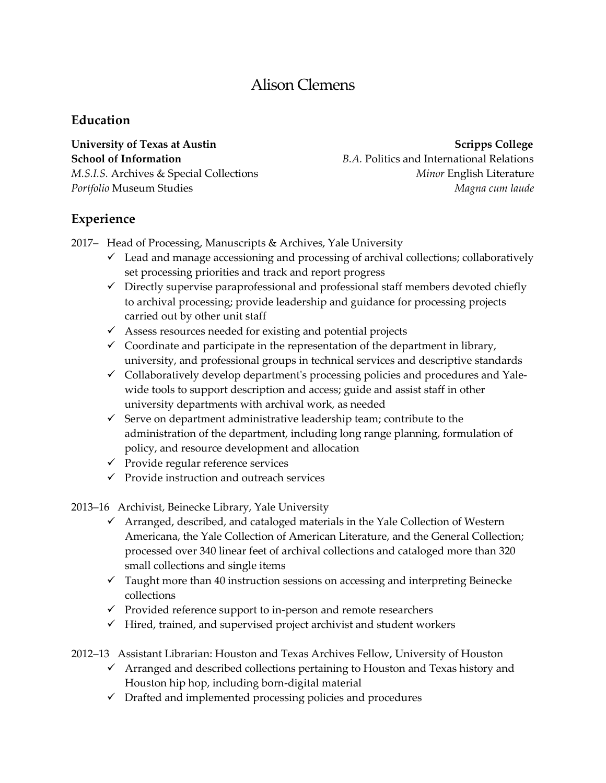# Alison Clemens

# **Education**

**University of Texas at Austin Scripps College** Scripps College

**School of Information** *B.A. Politics and International Relations M.S.I.S.* Archives & Special Collections *Minor* English Literature *Portfolio* Museum Studies *Magna cum laude*

# **Experience**

2017– Head of Processing, Manuscripts & Archives, Yale University

- $\checkmark$  Lead and manage accessioning and processing of archival collections; collaboratively set processing priorities and track and report progress
- $\checkmark$  Directly supervise paraprofessional and professional staff members devoted chiefly to archival processing; provide leadership and guidance for processing projects carried out by other unit staff
- $\checkmark$  Assess resources needed for existing and potential projects
- $\checkmark$  Coordinate and participate in the representation of the department in library, university, and professional groups in technical services and descriptive standards
- $\checkmark$  Collaboratively develop department's processing policies and procedures and Yalewide tools to support description and access; guide and assist staff in other university departments with archival work, as needed
- $\checkmark$  Serve on department administrative leadership team; contribute to the administration of the department, including long range planning, formulation of policy, and resource development and allocation
- $\checkmark$  Provide regular reference services
- $\checkmark$  Provide instruction and outreach services

2013–16 Archivist, Beinecke Library, Yale University

- $\checkmark$  Arranged, described, and cataloged materials in the Yale Collection of Western Americana, the Yale Collection of American Literature, and the General Collection; processed over 340 linear feet of archival collections and cataloged more than 320 small collections and single items
- $\checkmark$  Taught more than 40 instruction sessions on accessing and interpreting Beinecke collections
- $\checkmark$  Provided reference support to in-person and remote researchers
- $\checkmark$  Hired, trained, and supervised project archivist and student workers
- 2012–13Assistant Librarian: Houston and Texas Archives Fellow, University of Houston
	- $\checkmark$  Arranged and described collections pertaining to Houston and Texas history and Houston hip hop, including born-digital material
	- $\checkmark$  Drafted and implemented processing policies and procedures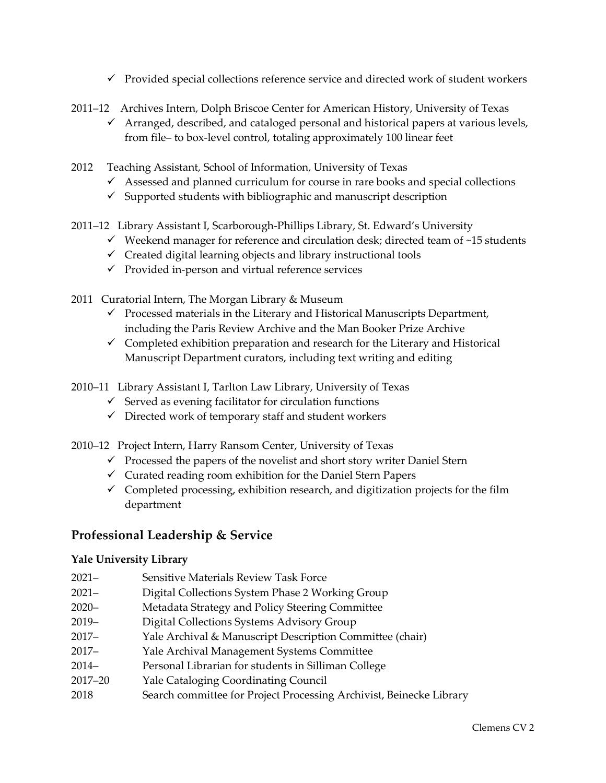- $\checkmark$  Provided special collections reference service and directed work of student workers
- 2011–12 Archives Intern, Dolph Briscoe Center for American History, University of Texas
	- $\checkmark$  Arranged, described, and cataloged personal and historical papers at various levels, from file– to box-level control, totaling approximately 100 linear feet
- 2012 Teaching Assistant, School of Information, University of Texas
	- $\checkmark$  Assessed and planned curriculum for course in rare books and special collections
	- $\checkmark$  Supported students with bibliographic and manuscript description
- 2011–12 Library Assistant I, Scarborough-Phillips Library, St. Edward's University
	- $\checkmark$  Weekend manager for reference and circulation desk; directed team of ~15 students
	- $\checkmark$  Created digital learning objects and library instructional tools
	- $\checkmark$  Provided in-person and virtual reference services
- 2011 Curatorial Intern, The Morgan Library & Museum
	- $\checkmark$  Processed materials in the Literary and Historical Manuscripts Department, including the Paris Review Archive and the Man Booker Prize Archive
	- $\checkmark$  Completed exhibition preparation and research for the Literary and Historical Manuscript Department curators, including text writing and editing

2010–11 Library Assistant I, Tarlton Law Library, University of Texas

- $\checkmark$  Served as evening facilitator for circulation functions
- $\checkmark$  Directed work of temporary staff and student workers
- 2010–12 Project Intern, Harry Ransom Center, University of Texas
	- $\checkmark$  Processed the papers of the novelist and short story writer Daniel Stern
	- $\checkmark$  Curated reading room exhibition for the Daniel Stern Papers
	- $\checkmark$  Completed processing, exhibition research, and digitization projects for the film department

## **Professional Leadership & Service**

#### **Yale University Library**

- 2021– Sensitive Materials Review Task Force
- 2021– Digital Collections System Phase 2 Working Group
- 2020– Metadata Strategy and Policy Steering Committee
- 2019– Digital Collections Systems Advisory Group
- 2017– Yale Archival & Manuscript Description Committee (chair)
- 2017– Yale Archival Management Systems Committee
- 2014– Personal Librarian for students in Silliman College
- 2017–20 Yale Cataloging Coordinating Council
- 2018 Search committee for Project Processing Archivist, Beinecke Library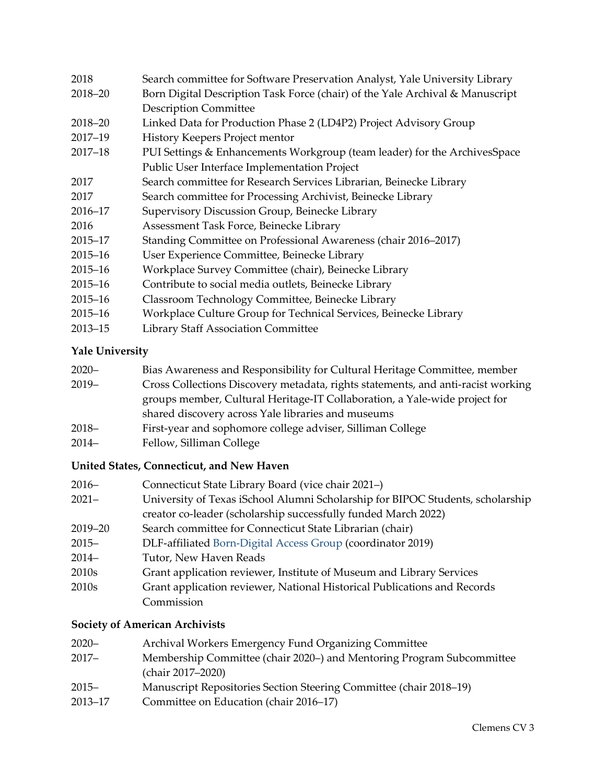| 2018        | Search committee for Software Preservation Analyst, Yale University Library   |  |
|-------------|-------------------------------------------------------------------------------|--|
| 2018-20     | Born Digital Description Task Force (chair) of the Yale Archival & Manuscript |  |
|             | <b>Description Committee</b>                                                  |  |
| 2018-20     | Linked Data for Production Phase 2 (LD4P2) Project Advisory Group             |  |
| $2017 - 19$ | History Keepers Project mentor                                                |  |
| $2017 - 18$ | PUI Settings & Enhancements Workgroup (team leader) for the ArchivesSpace     |  |
|             | Public User Interface Implementation Project                                  |  |
| 2017        | Search committee for Research Services Librarian, Beinecke Library            |  |
| 2017        | Search committee for Processing Archivist, Beinecke Library                   |  |
| 2016-17     | Supervisory Discussion Group, Beinecke Library                                |  |
| 2016        | Assessment Task Force, Beinecke Library                                       |  |
| $2015 - 17$ | Standing Committee on Professional Awareness (chair 2016–2017)                |  |
| $2015 - 16$ | User Experience Committee, Beinecke Library                                   |  |
| $2015 - 16$ | Workplace Survey Committee (chair), Beinecke Library                          |  |
| $2015 - 16$ | Contribute to social media outlets, Beinecke Library                          |  |
| $2015 - 16$ | Classroom Technology Committee, Beinecke Library                              |  |
| $2015 - 16$ | Workplace Culture Group for Technical Services, Beinecke Library              |  |
| $2013 - 15$ | <b>Library Staff Association Committee</b>                                    |  |

# **Yale University**

| $2020 -$ | Bias Awareness and Responsibility for Cultural Heritage Committee, member        |  |
|----------|----------------------------------------------------------------------------------|--|
| $2019-$  | Cross Collections Discovery metadata, rights statements, and anti-racist working |  |
|          | groups member, Cultural Heritage-IT Collaboration, a Yale-wide project for       |  |
|          | shared discovery across Yale libraries and museums                               |  |
| $2018 -$ | First-year and sophomore college adviser, Silliman College                       |  |
| 0.011    |                                                                                  |  |

2014– Fellow, Silliman College

## **United States, Connecticut, and New Haven**

| $2016-$           | Connecticut State Library Board (vice chair 2021–)                             |  |
|-------------------|--------------------------------------------------------------------------------|--|
| $2021 -$          | University of Texas iSchool Alumni Scholarship for BIPOC Students, scholarship |  |
|                   | creator co-leader (scholarship successfully funded March 2022)                 |  |
| 2019-20           | Search committee for Connecticut State Librarian (chair)                       |  |
| $2015 -$          | DLF-affiliated Born-Digital Access Group (coordinator 2019)                    |  |
| $2014-$           | Tutor, New Haven Reads                                                         |  |
| 2010 <sub>s</sub> | Grant application reviewer, Institute of Museum and Library Services           |  |
| 2010 <sub>s</sub> | Grant application reviewer, National Historical Publications and Records       |  |
|                   | Commission                                                                     |  |

### **Society of American Archivists**

| $2020 -$    | Archival Workers Emergency Fund Organizing Committee                  |  |
|-------------|-----------------------------------------------------------------------|--|
| $2017 -$    | Membership Committee (chair 2020–) and Mentoring Program Subcommittee |  |
|             | (chair 2017–2020)                                                     |  |
| $2015 -$    | Manuscript Repositories Section Steering Committee (chair 2018–19)    |  |
| $2013 - 17$ | Committee on Education (chair 2016–17)                                |  |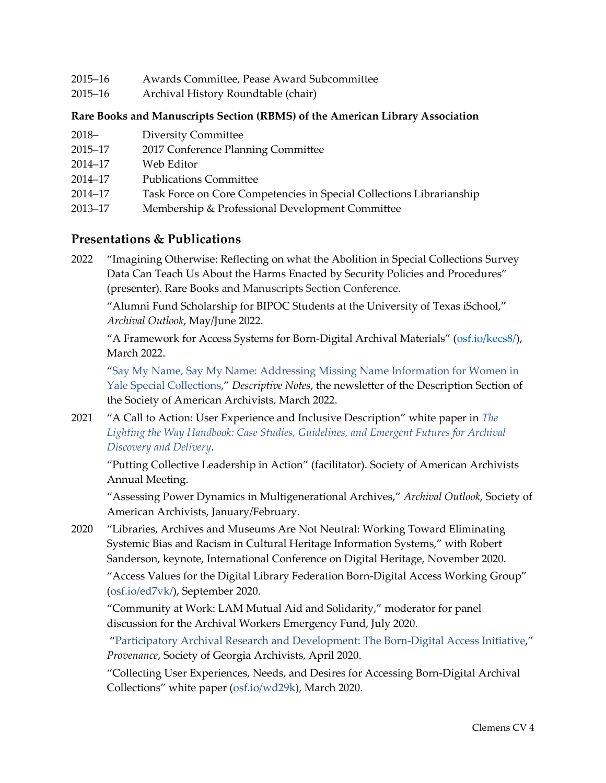2015–16 Archival History Roundtable (chair)

#### **Rare Books and Manuscripts Section (RBMS) of the American Library Association**

| $2018-$ | <b>Diversity Committee</b> |
|---------|----------------------------|
|---------|----------------------------|

- 2015–17 2017 Conference Planning Committee
- 2014–17 Web Editor
- 2014–17 Publications Committee
- 2014–17 Task Force on Core Competencies in Special Collections Librarianship
- 2013–17 Membership & Professional Development Committee

### **Presentations & Publications**

2022 "Imagining Otherwise: Reflecting on what the Abolition in Special Collections Survey Data Can Teach Us About the Harms Enacted by Security Policies and Procedures" (presenter). Rare Books and Manuscripts Section Conference.

"Alumni Fund Scholarship for BIPOC Students at the University of Texas iSchool," *Archival Outlook*, May/June 2022.

"A Framework for Access Systems for Born-Digital Archival Materials" [\(osf.io/kecs8/\)](https://osf.io/kecs8/), March 2022.

["Say My Name, Say My Name: Addressing Missing Name Information for Women in](https://saadescription.wordpress.com/2022/03/28/addressing-missing-name-information-for-women-in-yale-special-collections/)  [Yale Special Collections,](https://saadescription.wordpress.com/2022/03/28/addressing-missing-name-information-for-women-in-yale-special-collections/)" *Descriptive Notes*, the newsletter of the Description Section of the Society of American Archivists, March 2022.

2021 "A Call to Action: User Experience and Inclusive Description" white paper in *[The](https://purl.stanford.edu/gg453cv6438)  [Lighting the Way Handbook: Case Studies, Guidelines, and Emergent Futures for Archival](https://purl.stanford.edu/gg453cv6438)  [Discovery and Delivery](https://purl.stanford.edu/gg453cv6438)*.

"Putting Collective Leadership in Action" (facilitator). Society of American Archivists Annual Meeting.

"Assessing Power Dynamics in Multigenerational Archives," *Archival Outlook*, Society of American Archivists, January/February.

2020 "Libraries, Archives and Museums Are Not Neutral: Working Toward Eliminating Systemic Bias and Racism in Cultural Heritage Information Systems," with Robert Sanderson, keynote, International Conference on Digital Heritage, November 2020.

"Access Values for the Digital Library Federation Born-Digital Access Working Group" [\(osf.io/ed7vk/\)](https://osf.io/ed7vk/), September 2020.

"Community at Work: LAM Mutual Aid and Solidarity," moderator for panel discussion for the Archival Workers Emergency Fund, July 2020.

 ["Participatory Archival Research and Development: The Born-Digital Access Initiative,](https://digitalcommons.kennesaw.edu/provenance/vol36/iss1/3)" *Provenance*, Society of Georgia Archivists, April 2020.

 "Collecting User Experiences, Needs, and Desires for Accessing Born-Digital Archival Collections" white paper (osf.io/wd29k), March 2020.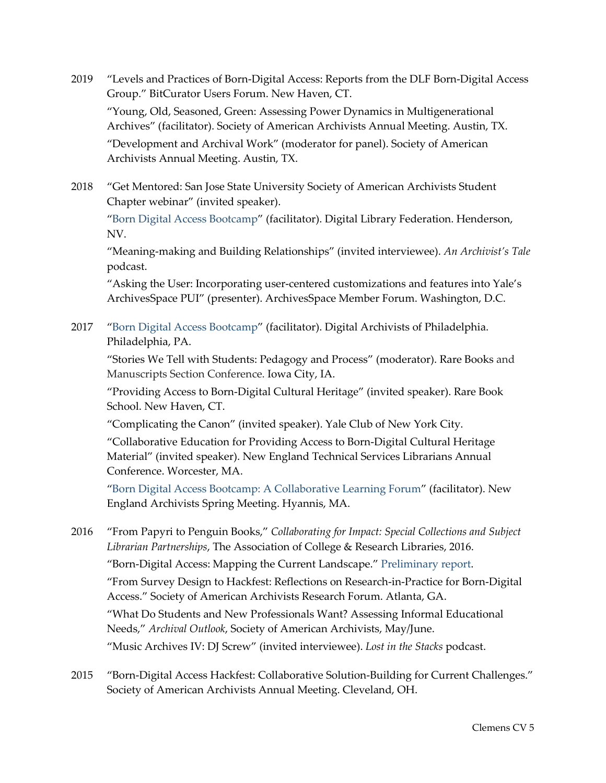2019 "Levels and Practices of Born-Digital Access: Reports from the DLF Born-Digital Access Group." BitCurator Users Forum. New Haven, CT.

"Young, Old, Seasoned, Green: Assessing Power Dynamics in Multigenerational Archives" (facilitator). Society of American Archivists Annual Meeting. Austin, TX.

"Development and Archival Work" (moderator for panel). Society of American Archivists Annual Meeting. Austin, TX.

2018 "Get Mentored: San Jose State University Society of American Archivists Student Chapter webinar" (invited speaker).

["Born Digital Access Bootcamp"](https://osf.io/wndu3/) (facilitator). Digital Library Federation. Henderson, NV.

"Meaning-making and Building Relationships" (invited interviewee). *An Archivist's Tale*  podcast.

 "Asking the User: Incorporating user-centered customizations and features into Yale's ArchivesSpace PUI" (presenter). ArchivesSpace Member Forum. Washington, D.C.

2017 ["Born Digital Access Bootcamp"](https://osf.io/6gc82/) (facilitator). Digital Archivists of Philadelphia. Philadelphia, PA.

"Stories We Tell with Students: Pedagogy and Process" (moderator). Rare Books and Manuscripts Section Conference. Iowa City, IA.

"Providing Access to Born-Digital Cultural Heritage" (invited speaker). Rare Book School. New Haven, CT.

"Complicating the Canon" (invited speaker). Yale Club of New York City.

"Collaborative Education for Providing Access to Born-Digital Cultural Heritage Material" (invited speaker). New England Technical Services Librarians Annual Conference. Worcester, MA.

["Born Digital Access Bootcamp: A Collaborative Learning Forum"](https://osf.io/ptbgj/) (facilitator). New England Archivists Spring Meeting. Hyannis, MA.

2016 "From Papyri to Penguin Books," *Collaborating for Impact: Special Collections and Subject Librarian Partnerships*, The Association of College & Research Libraries, 2016.

"Born-Digital Access: Mapping the Current Landscape." [Preliminary report.](http://bit.ly/hackbdaccess-report)

"From Survey Design to Hackfest: Reflections on Research-in-Practice for Born-Digital Access." Society of American Archivists Research Forum. Atlanta, GA.

"What Do Students and New Professionals Want? Assessing Informal Educational Needs," *Archival Outlook*, Society of American Archivists, May/June.

"Music Archives IV: DJ Screw" (invited interviewee). *Lost in the Stacks* podcast.

2015 "Born-Digital Access Hackfest: Collaborative Solution-Building for Current Challenges." Society of American Archivists Annual Meeting. Cleveland, OH.